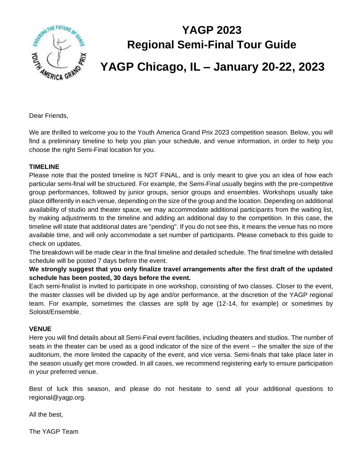

## **YAGP 2023 Regional Semi-Final Tour Guide**

# **YAGP Chicago, IL – January 20-22, 2023**

Dear Friends,

We are thrilled to welcome you to the Youth America Grand Prix 2023 competition season. Below, you will find a preliminary timeline to help you plan your schedule, and venue information, in order to help you choose the right Semi-Final location for you.

#### **TIMELINE**

Please note that the posted timeline is NOT FINAL, and is only meant to give you an idea of how each particular semi-final will be structured. For example, the Semi-Final usually begins with the pre-competitive group performances, followed by junior groups, senior groups and ensembles. Workshops usually take place differently in each venue, depending on the size of the group and the location. Depending on additional availability of studio and theater space, we may accommodate additional participants from the waiting list, by making adjustments to the timeline and adding an additional day to the competition. In this case, the timeline will state that additional dates are "pending". If you do not see this, it means the venue has no more available time, and will only accommodate a set number of participants. Please comeback to this guide to check on updates.

The breakdown will be made clear in the final timeline and detailed schedule. The final timeline with detailed schedule will be posted 7 days before the event.

**We strongly suggest that you only finalize travel arrangements after the first draft of the updated schedule has been posted, 30 days before the event.** 

Each semi-finalist is invited to participate in one workshop, consisting of two classes. Closer to the event, the master classes will be divided up by age and/or performance, at the discretion of the YAGP regional team. For example, sometimes the classes are split by age (12-14, for example) or sometimes by Soloist/Ensemble.

#### **VENUE**

Here you will find details about all Semi-Final event facilities, including theaters and studios. The number of seats in the theater can be used as a good indicator of the size of the event -- the smaller the size of the auditorium, the more limited the capacity of the event, and vice versa. Semi-finals that take place later in the season usually get more crowded. In all cases, we recommend registering early to ensure participation in your preferred venue.

Best of luck this season, and please do not hesitate to send all your additional questions to regional@yagp.org.

All the best,

The YAGP Team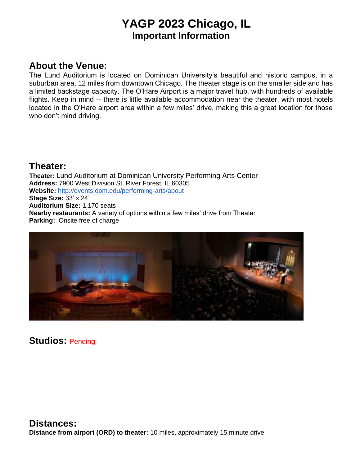## **YAGP 2023 Chicago, IL Important Information**

### **About the Venue:**

The Lund Auditorium is located on Dominican University's beautiful and historic campus, in a suburban area, 12 miles from downtown Chicago. The theater stage is on the smaller side and has a limited backstage capacity. The O'Hare Airport is a major travel hub, with hundreds of available flights. Keep in mind -- there is little available accommodation near the theater, with most hotels located in the O'Hare airport area within a few miles' drive, making this a great location for those who don't mind driving.

#### **Theater:**

**Theater:** Lund Auditorium at Dominican University Performing Arts Center **Address:** 7900 West Division St. River Forest, IL 60305 **Website:** <http://events.dom.edu/performing-arts/about> **Stage Size:** 33' x 24' **Auditorium Size:** 1,170 seats **Nearby restaurants:** A variety of options within a few miles' drive from Theater **Parking:** Onsite free of charge



**Studios:** Pending